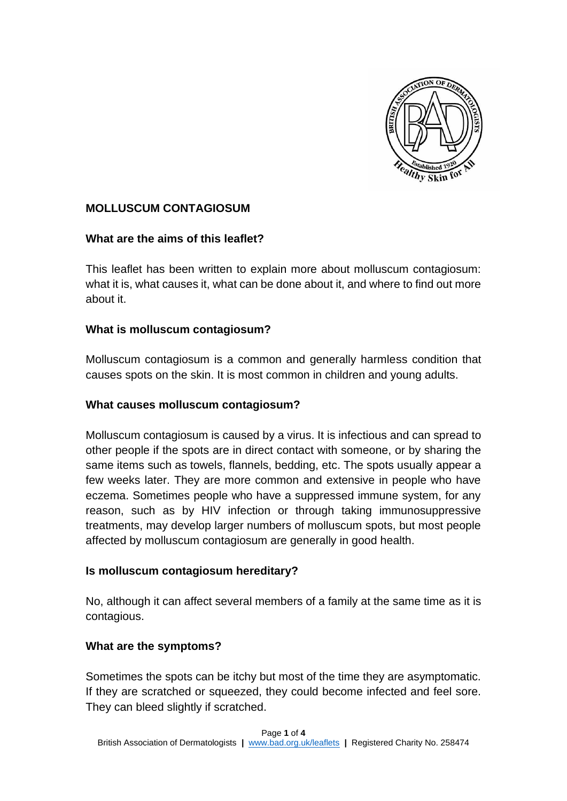

# **MOLLUSCUM CONTAGIOSUM**

## **What are the aims of this leaflet?**

This leaflet has been written to explain more about molluscum contagiosum: what it is, what causes it, what can be done about it, and where to find out more about it.

## **What is molluscum contagiosum?**

Molluscum contagiosum is a common and generally harmless condition that causes spots on the skin. It is most common in children and young adults.

## **What causes molluscum contagiosum?**

Molluscum contagiosum is caused by a virus. It is infectious and can spread to other people if the spots are in direct contact with someone, or by sharing the same items such as towels, flannels, bedding, etc. The spots usually appear a few weeks later. They are more common and extensive in people who have eczema. Sometimes people who have a suppressed immune system, for any reason, such as by HIV infection or through taking immunosuppressive treatments, may develop larger numbers of molluscum spots, but most people affected by molluscum contagiosum are generally in good health.

#### **Is molluscum contagiosum hereditary?**

No, although it can affect several members of a family at the same time as it is contagious.

## **What are the symptoms?**

Sometimes the spots can be itchy but most of the time they are asymptomatic. If they are scratched or squeezed, they could become infected and feel sore. They can bleed slightly if scratched.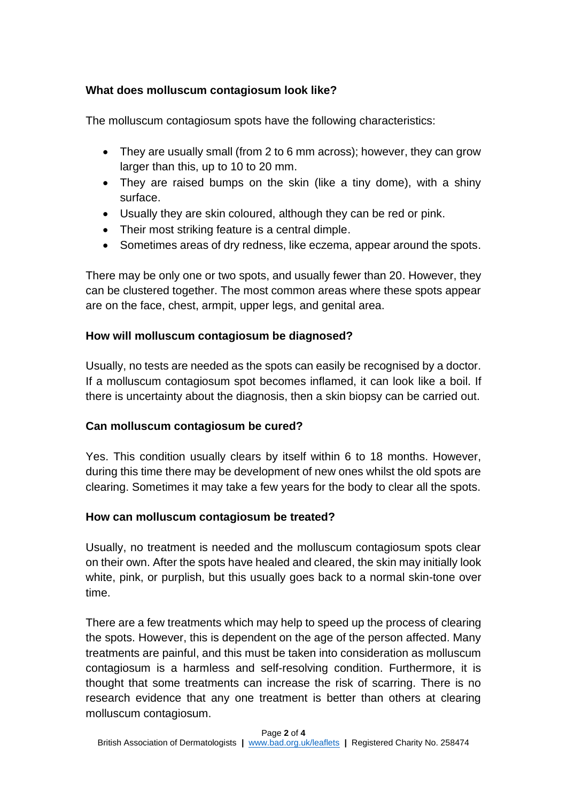## **What does molluscum contagiosum look like?**

The molluscum contagiosum spots have the following characteristics:

- They are usually small (from 2 to 6 mm across); however, they can grow larger than this, up to 10 to 20 mm.
- They are raised bumps on the skin (like a tiny dome), with a shiny surface.
- Usually they are skin coloured, although they can be red or pink.
- Their most striking feature is a central dimple.
- Sometimes areas of dry redness, like eczema, appear around the spots.

There may be only one or two spots, and usually fewer than 20. However, they can be clustered together. The most common areas where these spots appear are on the face, chest, armpit, upper legs, and genital area.

## **How will molluscum contagiosum be diagnosed?**

Usually, no tests are needed as the spots can easily be recognised by a doctor. If a molluscum contagiosum spot becomes inflamed, it can look like a boil. If there is uncertainty about the diagnosis, then a skin biopsy can be carried out.

## **Can molluscum contagiosum be cured?**

Yes. This condition usually clears by itself within 6 to 18 months. However, during this time there may be development of new ones whilst the old spots are clearing. Sometimes it may take a few years for the body to clear all the spots.

## **How can molluscum contagiosum be treated?**

Usually, no treatment is needed and the molluscum contagiosum spots clear on their own. After the spots have healed and cleared, the skin may initially look white, pink, or purplish, but this usually goes back to a normal skin-tone over time.

There are a few treatments which may help to speed up the process of clearing the spots. However, this is dependent on the age of the person affected. Many treatments are painful, and this must be taken into consideration as molluscum contagiosum is a harmless and self-resolving condition. Furthermore, it is thought that some treatments can increase the risk of scarring. There is no research evidence that any one treatment is better than others at clearing molluscum contagiosum.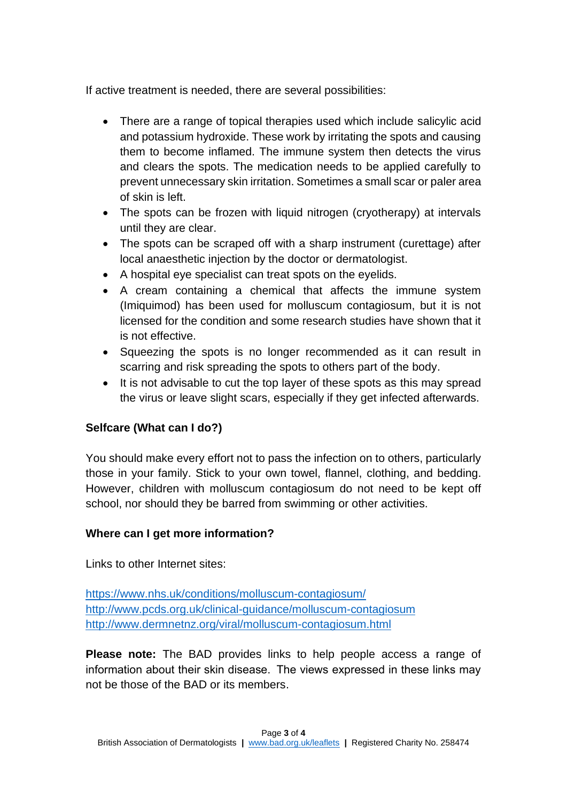If active treatment is needed, there are several possibilities:

- There are a range of topical therapies used which include salicylic acid and potassium hydroxide. These work by irritating the spots and causing them to become inflamed. The immune system then detects the virus and clears the spots. The medication needs to be applied carefully to prevent unnecessary skin irritation. Sometimes a small scar or paler area of skin is left.
- The spots can be frozen with liquid nitrogen (cryotherapy) at intervals until they are clear.
- The spots can be scraped off with a sharp instrument (curettage) after local anaesthetic injection by the doctor or dermatologist.
- A hospital eye specialist can treat spots on the eyelids.
- A cream containing a chemical that affects the immune system (Imiquimod) has been used for molluscum contagiosum, but it is not licensed for the condition and some research studies have shown that it is not effective.
- Squeezing the spots is no longer recommended as it can result in scarring and risk spreading the spots to others part of the body.
- It is not advisable to cut the top layer of these spots as this may spread the virus or leave slight scars, especially if they get infected afterwards.

# **Selfcare (What can I do?)**

You should make every effort not to pass the infection on to others, particularly those in your family. Stick to your own towel, flannel, clothing, and bedding. However, children with molluscum contagiosum do not need to be kept off school, nor should they be barred from swimming or other activities.

# **Where can I get more information?**

Links to other Internet sites:

<https://www.nhs.uk/conditions/molluscum-contagiosum/> <http://www.pcds.org.uk/clinical-guidance/molluscum-contagiosum> <http://www.dermnetnz.org/viral/molluscum-contagiosum.html>

**Please note:** The BAD provides links to help people access a range of information about their skin disease.  The views expressed in these links may not be those of the BAD or its members.